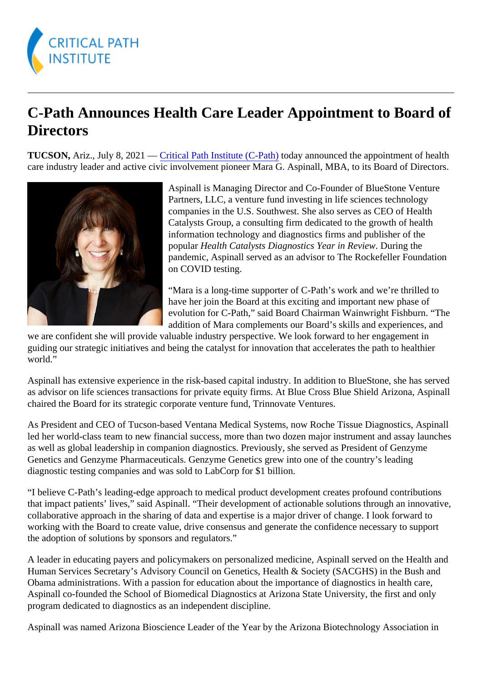## C-Path Announces Health Care Leader Appointment to Board of **Directors**

TUCSON, Ariz., July 8, 2021 - Critical Path Institute (C-Pathoday announced the appointment of health care industry leader and active civic involvement pioneer Mara G. Aspinall, MBA, to its Board of Directors.

> Aspinall is Managing Director and Co-Founder of BlueStone Venture Partners, LLC, a venture fund investing in life sciences technology companies in the U.S. Southwest. She also serves as CEO of Health Catalysts Group, a consulting firm dedicated to the growth of health information technology and diagnostics firms and publisher of the popular Health Catalysts Diagnostics Year in Review ring the pandemic, Aspinall served as an advisor to The Rockefeller Foundation on COVID testing.

> "Mara is a long-time supporter of C-Path's work and we're thrilled to have her join the Board at this exciting and important new phase of evolution for C-Path," said Board Chairman Wainwright Fishburn. "The addition of Mara complements our Board's skills and experiences, and

we are confident she will provide valuable industry perspective. We look forward to her engagement in guiding our strategic initiatives and being the catalyst for innovation that accelerates the path to healthier world."

Aspinall has extensive experience in the risk-based capital industry. In addition to BlueStone, she has serve as advisor on life sciences transactions for private equity firms. At Blue Cross Blue Shield Arizona, Aspina chaired the Board for its strategic corporate venture fund, Trinnovate Ventures.

As President and CEO of Tucson-based Ventana Medical Systems, now Roche Tissue Diagnostics, Aspir led her world-class team to new financial success, more than two dozen major instrument and assay laune as well as global leadership in companion diagnostics. Previously, she served as President of Genzyme Genetics and Genzyme Pharmaceuticals. Genzyme Genetics grew into one of the country's leading diagnostic testing companies and was sold to LabCorp for \$1 billion.

"I believe C-Path's leading-edge approach to medical product development creates profound contributions that impact patients' lives," said Aspinall. "Their development of actionable solutions through an innovative, collaborative approach in the sharing of data and expertise is a major driver of change. I look forward to working with the Board to create value, drive consensus and generate the confidence necessary to support the adoption of solutions by sponsors and regulators."

A leader in educating payers and policymakers on personalized medicine, Aspinall served on the Health a Human Services Secretary's Advisory Council on Genetics, Health & Society (SACGHS) in the Bush and Obama administrations. With a passion for education about the importance of diagnostics in health care, Aspinall co-founded the School of Biomedical Diagnostics at Arizona State University, the first and only program dedicated to diagnostics as an independent discipline.

Aspinall was named Arizona Bioscience Leader of the Year by the Arizona Biotechnology Association in